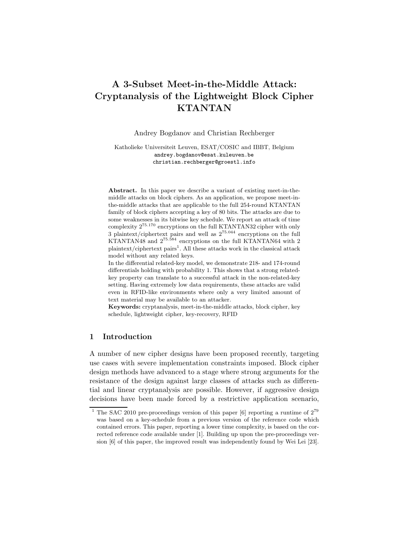# A 3-Subset Meet-in-the-Middle Attack: Cryptanalysis of the Lightweight Block Cipher KTANTAN

Andrey Bogdanov and Christian Rechberger

Katholieke Universiteit Leuven, ESAT/COSIC and IBBT, Belgium andrey.bogdanov@esat.kuleuven.be christian.rechberger@groestl.info

Abstract. In this paper we describe a variant of existing meet-in-themiddle attacks on block ciphers. As an application, we propose meet-inthe-middle attacks that are applicable to the full 254-round KTANTAN family of block ciphers accepting a key of 80 bits. The attacks are due to some weaknesses in its bitwise key schedule. We report an attack of time complexity 2<sup>75</sup>.<sup>170</sup> encryptions on the full KTANTAN32 cipher with only 3 plaintext/ciphertext pairs and well as 2<sup>75</sup>.<sup>044</sup> encryptions on the full KTANTAN48 and 2<sup>75</sup>.<sup>584</sup> encryptions on the full KTANTAN64 with 2 plaintext/ciphertext pairs<sup>1</sup>. All these attacks work in the classical attack model without any related keys.

In the differential related-key model, we demonstrate 218- and 174-round differentials holding with probability 1. This shows that a strong relatedkey property can translate to a successful attack in the non-related-key setting. Having extremely low data requirements, these attacks are valid even in RFID-like environments where only a very limited amount of text material may be available to an attacker.

Keywords: cryptanalysis, meet-in-the-middle attacks, block cipher, key schedule, lightweight cipher, key-recovery, RFID

# 1 Introduction

A number of new cipher designs have been proposed recently, targeting use cases with severe implementation constraints imposed. Block cipher design methods have advanced to a stage where strong arguments for the resistance of the design against large classes of attacks such as differential and linear cryptanalysis are possible. However, if aggressive design decisions have been made forced by a restrictive application scenario,

<sup>&</sup>lt;sup>1</sup> The SAC 2010 pre-proceedings version of this paper [6] reporting a runtime of  $2^{79}$ was based on a key-schedule from a previous version of the reference code which contained errors. This paper, reporting a lower time complexity, is based on the corrected reference code available under [1]. Building up upon the pre-proceedings version [6] of this paper, the improved result was independently found by Wei Lei [23].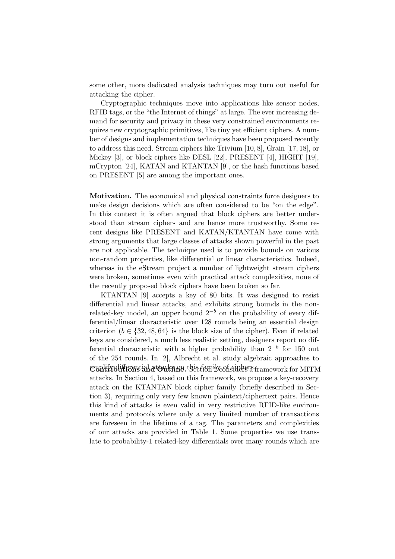some other, more dedicated analysis techniques may turn out useful for attacking the cipher.

Cryptographic techniques move into applications like sensor nodes, RFID tags, or the "the Internet of things" at large. The ever increasing demand for security and privacy in these very constrained environments requires new cryptographic primitives, like tiny yet efficient ciphers. A number of designs and implementation techniques have been proposed recently to address this need. Stream ciphers like Trivium [10, 8], Grain [17, 18], or Mickey [3], or block ciphers like DESL [22], PRESENT [4], HIGHT [19], mCrypton [24], KATAN and KTANTAN [9], or the hash functions based on PRESENT [5] are among the important ones.

Motivation. The economical and physical constraints force designers to make design decisions which are often considered to be "on the edge". In this context it is often argued that block ciphers are better understood than stream ciphers and are hence more trustworthy. Some recent designs like PRESENT and KATAN/KTANTAN have come with strong arguments that large classes of attacks shown powerful in the past are not applicable. The technique used is to provide bounds on various non-random properties, like differential or linear characteristics. Indeed, whereas in the eStream project a number of lightweight stream ciphers were broken, sometimes even with practical attack complexities, none of the recently proposed block ciphers have been broken so far.

KTANTAN [9] accepts a key of 80 bits. It was designed to resist differential and linear attacks, and exhibits strong bounds in the nonrelated-key model, an upper bound  $2^{-b}$  on the probability of every differential/linear characteristic over 128 rounds being an essential design criterion ( $b \in \{32, 48, 64\}$  is the block size of the cipher). Even if related keys are considered, a much less realistic setting, designers report no differential characteristic with a higher probability than  $2^{-b}$  for 150 out of the 254 rounds. In [2], Albrecht et al. study algebraic approaches to amplify differential attacks on this family of ciphers. Contributions and Outline. Section 2 considers a framework for MITM attacks. In Section 4, based on this framework, we propose a key-recovery attack on the KTANTAN block cipher family (briefly described in Section 3), requiring only very few known plaintext/ciphertext pairs. Hence this kind of attacks is even valid in very restrictive RFID-like environments and protocols where only a very limited number of transactions are foreseen in the lifetime of a tag. The parameters and complexities of our attacks are provided in Table 1. Some properties we use translate to probability-1 related-key differentials over many rounds which are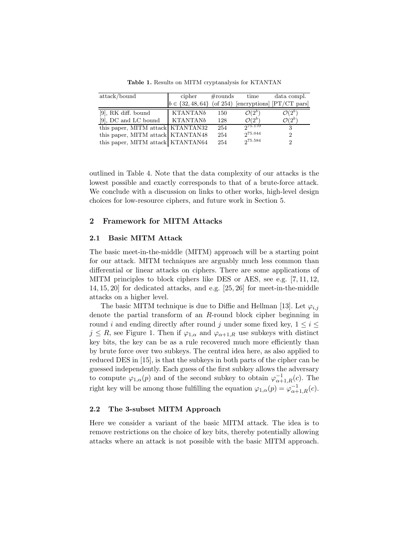| attack/bound                      | cipher                                                     | $\#\text{rounds}$ | time               | data compl.        |
|-----------------------------------|------------------------------------------------------------|-------------------|--------------------|--------------------|
|                                   | $b \in \{32, 48, 64\}$ (of 254) [encryptions] [PT/CT pars] |                   |                    |                    |
| $[9]$ , RK diff. bound            | <b>KTANTANb</b>                                            | 150               | $\mathcal{O}(2^b)$ | $\mathcal{O}(2^b)$ |
| [9], DC and LC bound              | <b>KTANTANb</b>                                            | 128               | $\mathcal{O}(2^b)$ | $\mathcal{O}(2^b)$ |
| this paper, MITM attack KTANTAN32 |                                                            | 254               | 275.170            | 3                  |
| this paper, MITM attack KTANTAN48 |                                                            | 254               | 275.044            | 2                  |
| this paper, MITM attack KTANTAN64 |                                                            | 254               | 275.584            | 2                  |

Table 1. Results on MITM cryptanalysis for KTANTAN

outlined in Table 4. Note that the data complexity of our attacks is the lowest possible and exactly corresponds to that of a brute-force attack. We conclude with a discussion on links to other works, high-level design choices for low-resource ciphers, and future work in Section 5.

# 2 Framework for MITM Attacks

## 2.1 Basic MITM Attack

The basic meet-in-the-middle (MITM) approach will be a starting point for our attack. MITM techniques are arguably much less common than differential or linear attacks on ciphers. There are some applications of MITM principles to block ciphers like DES or AES, see e.g. [7, 11, 12, 14, 15, 20] for dedicated attacks, and e.g. [25, 26] for meet-in-the-middle attacks on a higher level.

The basic MITM technique is due to Diffie and Hellman [13]. Let  $\varphi_{i,j}$ denote the partial transform of an R-round block cipher beginning in round i and ending directly after round j under some fixed key,  $1 \leq i \leq$  $j \leq R$ , see Figure 1. Then if  $\varphi_{1,\alpha}$  and  $\varphi_{\alpha+1,R}$  use subkeys with distinct key bits, the key can be as a rule recovered much more efficiently than by brute force over two subkeys. The central idea here, as also applied to reduced DES in [15], is that the subkeys in both parts of the cipher can be guessed independently. Each guess of the first subkey allows the adversary to compute  $\varphi_{1,\alpha}(p)$  and of the second subkey to obtain  $\varphi_{\alpha+1,R}^{-1}(c)$ . The right key will be among those fulfilling the equation  $\varphi_{1,\alpha}(p) = \varphi_{\alpha+1,R}^{-1}(c)$ .

## 2.2 The 3-subset MITM Approach

Here we consider a variant of the basic MITM attack. The idea is to remove restrictions on the choice of key bits, thereby potentially allowing attacks where an attack is not possible with the basic MITM approach.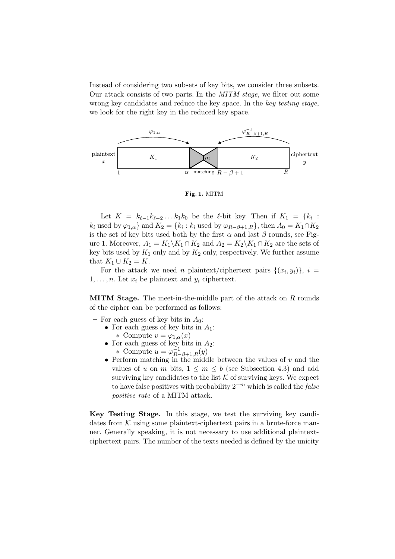Instead of considering two subsets of key bits, we consider three subsets. Our attack consists of two parts. In the MITM stage, we filter out some wrong key candidates and reduce the key space. In the key testing stage, we look for the right key in the reduced key space.



Fig. 1. MITM

Let  $K = k_{\ell-1}k_{\ell-2}\ldots k_1k_0$  be the  $\ell$ -bit key. Then if  $K_1 = \{k_i :$  $k_i$  used by  $\varphi_{1,\alpha}$  and  $K_2 = \{k_i : k_i$  used by  $\varphi_{R-\beta+1,R}\}$ , then  $A_0 = K_1 \cap K_2$ is the set of key bits used both by the first  $\alpha$  and last  $\beta$  rounds, see Figure 1. Moreover,  $A_1 = K_1 \backslash K_1 \cap K_2$  and  $A_2 = K_2 \backslash K_1 \cap K_2$  are the sets of key bits used by  $K_1$  only and by  $K_2$  only, respectively. We further assume that  $K_1 \cup K_2 = K$ .

For the attack we need *n* plaintext/ciphertext pairs  $\{(x_i, y_i)\}, i =$  $1, \ldots, n$ . Let  $x_i$  be plaintext and  $y_i$  ciphertext.

**MITM Stage.** The meet-in-the-middle part of the attack on  $R$  rounds of the cipher can be performed as follows:

- For each guess of key bits in  $A_0$ :
	- For each guess of key bits in  $A_1$ : \* Compute  $v = \varphi_{1,\alpha}(x)$
	- For each guess of key bits in  $A_2$ : \* Compute  $u = \varphi_{R-\beta+1,R}^{-1}(y)$
	- Perform matching in the middle between the values of  $v$  and the values of u on m bits,  $1 \leq m \leq b$  (see Subsection 4.3) and add surviving key candidates to the list  $K$  of surviving keys. We expect to have false positives with probability  $2^{-m}$  which is called the *false* positive rate of a MITM attack.

Key Testing Stage. In this stage, we test the surviving key candidates from  $K$  using some plaintext-ciphertext pairs in a brute-force manner. Generally speaking, it is not necessary to use additional plaintextciphertext pairs. The number of the texts needed is defined by the unicity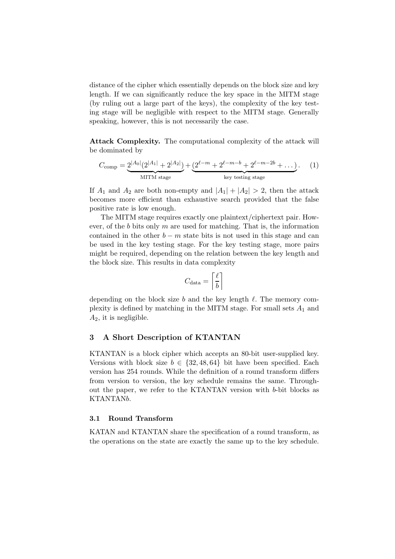distance of the cipher which essentially depends on the block size and key length. If we can significantly reduce the key space in the MITM stage (by ruling out a large part of the keys), the complexity of the key testing stage will be negligible with respect to the MITM stage. Generally speaking, however, this is not necessarily the case.

Attack Complexity. The computational complexity of the attack will be dominated by

$$
C_{\text{comp}} = \underbrace{2^{|A_0|}(2^{|A_1|} + 2^{|A_2|})}_{\text{MITM stage}} + \underbrace{(2^{\ell-m} + 2^{\ell-m-b} + 2^{\ell-m-2b} + \dots)}_{\text{key testing stage}}.
$$
 (1)

If  $A_1$  and  $A_2$  are both non-empty and  $|A_1| + |A_2| > 2$ , then the attack becomes more efficient than exhaustive search provided that the false positive rate is low enough.

The MITM stage requires exactly one plaintext/ciphertext pair. However, of the b bits only  $m$  are used for matching. That is, the information contained in the other  $b - m$  state bits is not used in this stage and can be used in the key testing stage. For the key testing stage, more pairs might be required, depending on the relation between the key length and the block size. This results in data complexity

$$
C_{\text{data}} = \left\lceil \frac{\ell}{b} \right\rceil
$$

depending on the block size b and the key length  $\ell$ . The memory complexity is defined by matching in the MITM stage. For small sets  $A_1$  and  $A_2$ , it is negligible.

# 3 A Short Description of KTANTAN

KTANTAN is a block cipher which accepts an 80-bit user-supplied key. Versions with block size  $b \in \{32, 48, 64\}$  bit have been specified. Each version has 254 rounds. While the definition of a round transform differs from version to version, the key schedule remains the same. Throughout the paper, we refer to the KTANTAN version with b-bit blocks as KTANTANb.

## 3.1 Round Transform

KATAN and KTANTAN share the specification of a round transform, as the operations on the state are exactly the same up to the key schedule.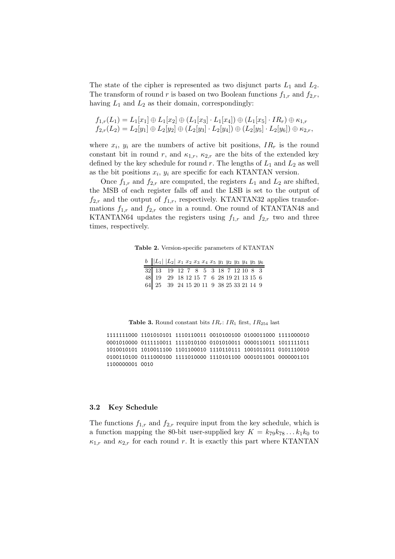The state of the cipher is represented as two disjunct parts  $L_1$  and  $L_2$ . The transform of round r is based on two Boolean functions  $f_{1,r}$  and  $f_{2,r}$ , having  $L_1$  and  $L_2$  as their domain, correspondingly:

$$
f_{1,r}(L_1) = L_1[x_1] \oplus L_1[x_2] \oplus (L_1[x_3] \cdot L_1[x_4]) \oplus (L_1[x_5] \cdot IR_r) \oplus \kappa_{1,r}
$$
  

$$
f_{2,r}(L_2) = L_2[y_1] \oplus L_2[y_2] \oplus (L_2[y_3] \cdot L_2[y_4]) \oplus (L_2[y_5] \cdot L_2[y_6]) \oplus \kappa_{2,r},
$$

where  $x_i$ ,  $y_i$  are the numbers of active bit positions,  $IR_r$  is the round constant bit in round r, and  $\kappa_{1,r}$ ,  $\kappa_{2,r}$  are the bits of the extended key defined by the key schedule for round r. The lengths of  $L_1$  and  $L_2$  as well as the bit positions  $x_i$ ,  $y_i$  are specific for each KTANTAN version.

Once  $f_{1,r}$  and  $f_{2,r}$  are computed, the registers  $L_1$  and  $L_2$  are shifted, the MSB of each register falls off and the LSB is set to the output of  $f_{2,r}$  and the output of  $f_{1,r}$ , respectively. KTANTAN32 applies transformations  $f_{1,r}$  and  $f_{2,r}$  once in a round. One round of KTANTAN48 and KTANTAN64 updates the registers using  $f_{1,r}$  and  $f_{2,r}$  two and three times, respectively.

Table 2. Version-specific parameters of KTANTAN

| $b$   L <sub>1</sub>   L <sub>2</sub>   x <sub>1</sub> x <sub>2</sub> x <sub>3</sub> x <sub>4</sub> x <sub>5</sub> y <sub>1</sub> y <sub>2</sub> y <sub>3</sub> y <sub>4</sub> y <sub>5</sub> y <sub>6</sub> |  |  |  |  |  |  |
|--------------------------------------------------------------------------------------------------------------------------------------------------------------------------------------------------------------|--|--|--|--|--|--|
| $\begin{array}{c cccccc} 32 & 13 & 19 & 12 & 7 & 8 & 5 & 3 & 18 & 7 & 12 & 10 & 8 & 3 \\ 48 & 19 & 29 & 18 & 12 & 15 & 7 & 6 & 28 & 19 & 21 & 13 & 15 & 6 \\ \end{array}$                                    |  |  |  |  |  |  |
|                                                                                                                                                                                                              |  |  |  |  |  |  |
| 64 25 39 24 15 20 11 9 38 25 33 21 14 9                                                                                                                                                                      |  |  |  |  |  |  |

Table 3. Round constant bits  $IR_r$ :  $IR_1$  first,  $IR_{254}$  last

1111111000 1101010101 1110110011 0010100100 0100011000 1111000010 0001010000 0111110011 1111010100 0101010011 0000110011 1011111011 1010010101 1010011100 1101100010 1110110111 1001011011 0101110010 0100110100 0111000100 1111010000 1110101100 0001011001 0000001101 1100000001 0010

#### 3.2 Key Schedule

The functions  $f_{1,r}$  and  $f_{2,r}$  require input from the key schedule, which is a function mapping the 80-bit user-supplied key  $K = k_{79}k_{78}...k_1k_0$  to  $\kappa_{1,r}$  and  $\kappa_{2,r}$  for each round r. It is exactly this part where KTANTAN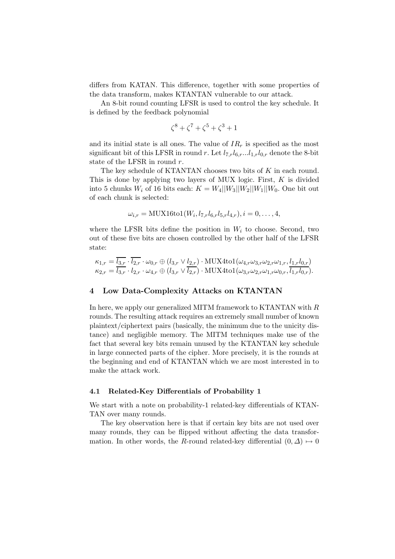differs from KATAN. This difference, together with some properties of the data transform, makes KTANTAN vulnerable to our attack.

An 8-bit round counting LFSR is used to control the key schedule. It is defined by the feedback polynomial

$$
\zeta^8 + \zeta^7 + \zeta^5 + \zeta^3 + 1
$$

and its initial state is all ones. The value of  $IR<sub>r</sub>$  is specified as the most significant bit of this LFSR in round r. Let  $l_{7,r}l_{6,r}...l_{1,r}l_{0,r}$  denote the 8-bit state of the LFSR in round r.

The key schedule of KTANTAN chooses two bits of K in each round. This is done by applying two layers of MUX logic. First,  $K$  is divided into 5 chunks  $W_i$  of 16 bits each:  $K = W_4||W_3||W_2||W_1||W_0$ . One bit out of each chunk is selected:

$$
\omega_{i,r} = \text{MUX16tol}(W_i, l_{7,r}l_{6,r}l_{5,r}l_{4,r}), i = 0, \ldots, 4,
$$

where the LFSR bits define the position in  $W_i$  to choose. Second, two out of these five bits are chosen controlled by the other half of the LFSR state:

$$
\kappa_{1,r} = \overline{l_{3,r}} \cdot \overline{l_{2,r}} \cdot \omega_{0,r} \oplus (l_{3,r} \vee l_{2,r}) \cdot \text{MUX4tol}(\omega_{4,r}\omega_{3,r}\omega_{2,r}\omega_{1,r}, \underbrace{l_{1,r}l_{0,r}}_{k_{2,r}}) \n\kappa_{2,r} = \overline{l_{3,r}} \cdot l_{2,r} \cdot \omega_{4,r} \oplus (l_{3,r} \vee \overline{l_{2,r}}) \cdot \text{MUX4tol}(\omega_{3,r}\omega_{2,r}\omega_{1,r}\omega_{0,r}, \overline{l_{1,r}l_{0,r}}).
$$

## 4 Low Data-Complexity Attacks on KTANTAN

In here, we apply our generalized MITM framework to KTANTAN with  $R$ rounds. The resulting attack requires an extremely small number of known plaintext/ciphertext pairs (basically, the minimum due to the unicity distance) and negligible memory. The MITM techniques make use of the fact that several key bits remain unused by the KTANTAN key schedule in large connected parts of the cipher. More precisely, it is the rounds at the beginning and end of KTANTAN which we are most interested in to make the attack work.

# 4.1 Related-Key Differentials of Probability 1

We start with a note on probability-1 related-key differentials of KTAN-TAN over many rounds.

The key observation here is that if certain key bits are not used over many rounds, they can be flipped without affecting the data transformation. In other words, the R-round related-key differential  $(0, \Delta) \mapsto 0$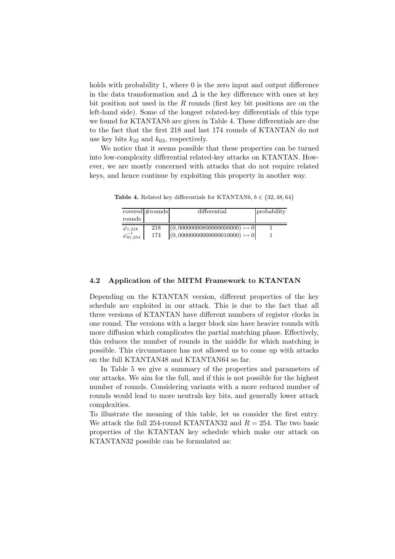holds with probability 1, where 0 is the zero input and output difference in the data transformation and  $\Delta$  is the key difference with ones at key bit position not used in the R rounds (first key bit positions are on the left-hand side). Some of the longest related-key differentials of this type we found for KTANTANb are given in Table 4. These differentials are due to the fact that the first 218 and last 174 rounds of KTANTAN do not use key bits  $k_{32}$  and  $k_{63}$ , respectively.

We notice that it seems possible that these properties can be turned into low-complexity differential related-key attacks on KTANTAN. However, we are mostly concerned with attacks that do not require related keys, and hence continue by exploiting this property in another way.

| rounds             | covered $#rounds$ | differential                         | probability |
|--------------------|-------------------|--------------------------------------|-------------|
|                    |                   |                                      |             |
| $\varphi$ 1,218    | 218               | $(0,00000000800000000000) \mapsto 0$ |             |
| $\varphi_{81,254}$ | 174               | $(0,0000000000000010000) \mapsto 0$  |             |

Table 4. Related key differentials for KTANTANb,  $b \in \{32, 48, 64\}$ 

#### 4.2 Application of the MITM Framework to KTANTAN

Depending on the KTANTAN version, different properties of the key schedule are exploited in our attack. This is due to the fact that all three versions of KTANTAN have different numbers of register clocks in one round. The versions with a larger block size have heavier rounds with more diffusion which complicates the partial matching phase. Effectively, this reduces the number of rounds in the middle for which matching is possible. This circumstance has not allowed us to come up with attacks on the full KTANTAN48 and KTANTAN64 so far.

In Table 5 we give a summary of the properties and parameters of our attacks. We aim for the full, and if this is not possible for the highest number of rounds. Considering variants with a more reduced number of rounds would lead to more neutrals key bits, and generally lower attack complexities.

To illustrate the meaning of this table, let us consider the first entry. We attack the full 254-round KTANTAN32 and  $R = 254$ . The two basic properties of the KTANTAN key schedule which make our attack on KTANTAN32 possible can be formulated as: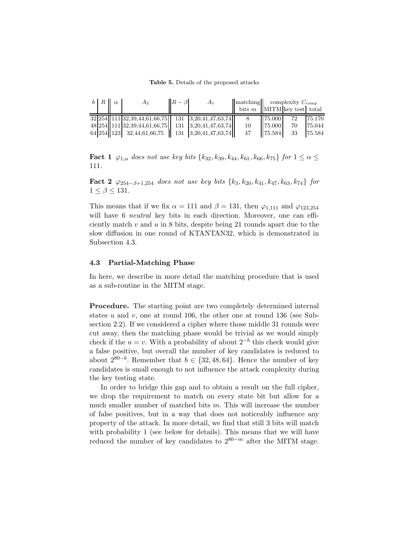Table 5. Details of the proposed attacks

| $b \mid R \mid \alpha$ | $A_2$                                                                                                                                    | $R-\beta$ | $A_1$ | $\ \text{matching}\ $ complexity $C_{\text{comp}}$ |        |    |        |
|------------------------|------------------------------------------------------------------------------------------------------------------------------------------|-----------|-------|----------------------------------------------------|--------|----|--------|
|                        |                                                                                                                                          |           |       | bits $m$   MITM key test  total                    |        |    |        |
|                        | $\frac{32[254][111[32,39,44,61,66,75]]}{32[254][111[32,39,44,61,66,75]]}$ 131 $\frac{32[34,47,63,74]]}{32[254][111[32,39,44,61,66,75]]}$ |           |       |                                                    |        | 72 | 75.170 |
|                        | 48 254 111 32, 39, 44, 61, 66, 75 131 3, 20, 41, 47, 63, 74                                                                              |           |       | 10                                                 | 75.000 | 70 | 75.044 |
|                        | $64 254 123 $ 32,44,61,66,75   131   3,20,41,47,63,74                                                                                    |           |       | 47                                                 | 75.584 | 33 | 75.584 |

**Fact 1**  $\varphi_{1,\alpha}$  does not use key bits  $\{k_{32}, k_{39}, k_{44}, k_{61}, k_{66}, k_{75}\}$  for  $1 \leq \alpha \leq$ 111.

Fact 2  $\varphi_{254-\beta+1,254}$  does not use key bits  $\{k_3, k_{20}, k_{41}, k_{47}, k_{63}, k_{74}\}$  for  $1 \leq \beta \leq 131$ .

This means that if we fix  $\alpha = 111$  and  $\beta = 131$ , then  $\varphi_{1,111}$  and  $\varphi_{123.254}$ will have 6 *neutral* key bits in each direction. Moreover, one can efficiently match  $v$  and  $u$  in 8 bits, despite being 21 rounds apart due to the slow diffusion in one round of KTANTAN32, which is demonstrated in Subsection 4.3.

#### 4.3 Partial-Matching Phase

In here, we describe in more detail the matching procedure that is used as a sub-routine in the MITM stage.

Procedure. The starting point are two completely determined internal states  $u$  and  $v$ , one at round 106, the other one at round 136 (see Subsection 2.2). If we considered a cipher where those middle 31 rounds were cut away, then the matching phase would be trivial as we would simply check if the  $u = v$ . With a probability of about  $2^{-b}$  this check would give a false positive, but overall the number of key candidates is reduced to about  $2^{80-b}$ . Remember that  $b \in \{32, 48, 64\}$ . Hence the number of key candidates is small enough to not influence the attack complexity during the key testing state.

In order to bridge this gap and to obtain a result on the full cipher, we drop the requirement to match on every state bit but allow for a much smaller number of matched bits  $m$ . This will increase the number of false positives, but in a way that does not noticeably influence any property of the attack. In more detail, we find that still 3 bits will match with probability 1 (see below for details). This means that we will have reduced the number of key candidates to  $2^{80-m}$  after the MITM stage.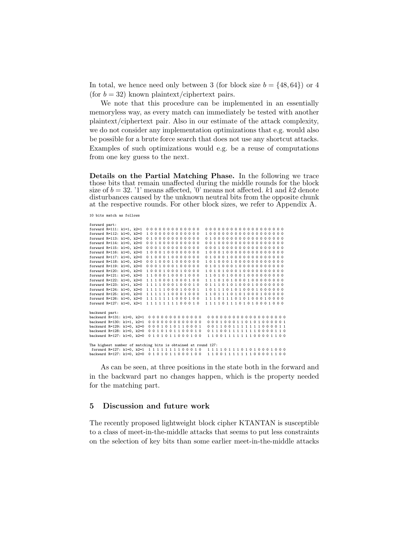In total, we hence need only between 3 (for block size  $b = \{48, 64\}$ ) or 4 (for  $b = 32$ ) known plaintext/ciphertext pairs.

We note that this procedure can be implemented in an essentially memoryless way, as every match can immediately be tested with another plaintext/ciphertext pair. Also in our estimate of the attack complexity, we do not consider any implementation optimizations that e.g. would also be possible for a brute force search that does not use any shortcut attacks. Examples of such optimizations would e.g. be a reuse of computations from one key guess to the next.

Details on the Partial Matching Phase. In the following we trace those bits that remain unaffected during the middle rounds for the block size of  $b = 32$ . '1' means affected, '0' means not affected. k1 and k2 denote disturbances caused by the unknown neutral bits from the opposite chunk at the respective rounds. For other block sizes, we refer to Appendix A.

```
10 bits match as follows
```

```
forward part:
forward R=111: k1=1, k2=1 0 0 0 0 0 0 0 0 0 0 0 0 0 0 0 0 0 0 0 0 0 0 0 0 0 0 0 0 0 0 0 0
forward R=112: k1=0, k2=0 1000000000000 100000000000000000000<br>forward R=113: k1=0, k2=0 0100000000000 01000000000000000000
forward R=113: k1=0, k2=0 0 1 0 0 0 0 0 0 0 0 0 0 0 0 1 0 0 0 0 0 0 0 0 0 0 0 0 0 0 0 0 0
forward R=114: k1=0, k2=0 0 0 1 0 0 0 0 0 0 0 0 0 0 0 0 1 0 0 0 0 0 0 0 0 0 0 0 0 0 0 0 0
forward R=115: k1=0, k2=0 0 0 0 1 0 0 0 0 0 0 0 0 0 0 0 0 1 0 0 0 0 0 0 0 0 0 0 0 0 0 0 0
forward R=116: k1=0, k2=0 1 0 0 0 1 0 0 0 0 0 0 0 0 1 0 0 0 1 0 0 0 0 0 0 0 0 0 0 0 0 0 0
                                  forward R=117: k1=0, k2=0 0 1 0 0 0 1 0 0 0 0 0 0 0 0 1 0 0 0 1 0 0 0 0 0 0 0 0 0 0 0 0 0
forward R=118: k1=0, k2=0 0010001000000 101000100000000000000<br>forward R=119: k1=0. k2=0 0001000100000 0101000100000000000
forward R=119: k1=0, k2=0 0 0 0 1 0 0 0 1 0 0 0 0 0 0 1 0 1 0 0 0 1 0 0 0 0 0 0 0 0 0 0 0
forward R=120: k1=0, k2=0 1000100010000 101010001000000000000<br>forward R=121: k1=0, k2=0 1100010001000 1101010001000000000
forward R=121: k1=0, k2=0 1 1 0 0 0 1 0 0 0 1 0 0 0<br>forward R=122: k1=0, k2=0 1 1 1 0 0 0 1 0 0 0 1 0 0
forward R=122: k1=0, k2=0 111100010010010011110101000100000000<br>forward R=123: k1=1, k2=0 1111000100010 0111010100010000000
forward R=123: k1=1, k2=0 1 1 1 1 0 0 0 1 0 0 0 1 0 0 1 1 1 0 1 0 1 0 0 0 1 0 0 0 0 0 0 0
forward R=124: k1=0, k2=0 1111100010001 1011101010001000000<br>forward R=125: k1=0, k2=0 1111110001000 1101110101000100000
                                                                       forward R=125: k1=0, k2=0 1 1 1 1 1 1 0 0 0 1 0 0 0 1 1 0 1 1 1 0 1 0 1 0 0 0 1 0 0 0 0 0
forward R=126: k1=0, k2=0 1 1 1 1 1 1 0 0 0 1 0 0 1 1 1 0 1 1 1 0 1 0 0 0 1 0 0 0 0<br>forward R=127: k1=0. k2=1 1 1 1 1 1 1 1 0 0 0 1 0 1 1 1 1 0 1 1 1 0 1 0 1 0 0 0 1 0 0 0forward R=127: k1=0, k2=1 1 1 1 1 1 1 1 0 0 0 1 0
backward part:
backward R=131: k1=0, k2=1 0 0 0 0 0 0 0 0 0 0 0 0 0 0 0 0 0 0 0 0 0 0 0 0 0 0 0 0 0 0 0 0
backward R=130: k1=1, k2=1 0 0 0 0 0 0 0 0 0 0 0 0 0 0 0 0 1 0 0 0 1 1 0 1 0 1 0 0 0 0 0 1
backward R=129: k1=0, k2=0 0 0 0 1 0 1 0 1 1 0 0 0 1 0 0 1 1 0 0 1 1 1 1 1 1 1 0 0 0 0 1 1
backward R=128: k1=0, k2=0  0 0 1 0 1 0 1 1 0 0 0 1 0   0 1 1 0 0 1 1 1 1 1 1 1 0 0 0 0 1 1 0<br>backward R=127: k1=0, k2=0  0 1 0 1 0 1 1 0 0 0 1 0 0   1 1 0 0 1 1 1 1 1 1 1 0 0 0 0 1 1 0 0
The highest number of matching bits is obtained at round 127:
forward R=127: k1=0, k2=1 1111111100010 1111011101010001000<br>backward R=127: k1=0, k2=0 0101011000100 11001111111100001100
```
As can be seen, at three positions in the state both in the forward and in the backward part no changes happen, which is the property needed for the matching part.

#### 5 Discussion and future work

The recently proposed lightweight block cipher KTANTAN is susceptible to a class of meet-in-the-middle attacks that seems to put less constraints on the selection of key bits than some earlier meet-in-the-middle attacks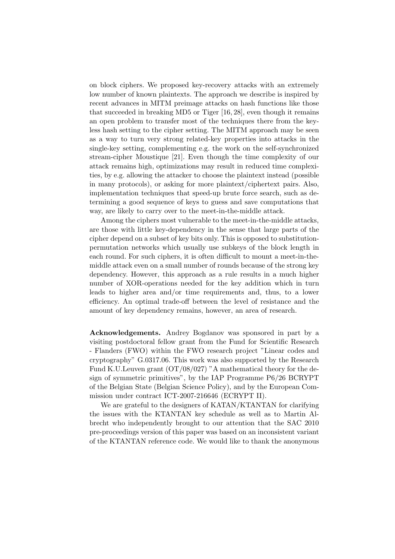on block ciphers. We proposed key-recovery attacks with an extremely low number of known plaintexts. The approach we describe is inspired by recent advances in MITM preimage attacks on hash functions like those that succeeded in breaking MD5 or Tiger [16, 28], even though it remains an open problem to transfer most of the techniques there from the keyless hash setting to the cipher setting. The MITM approach may be seen as a way to turn very strong related-key properties into attacks in the single-key setting, complementing e.g. the work on the self-synchronized stream-cipher Moustique [21]. Even though the time complexity of our attack remains high, optimizations may result in reduced time complexities, by e.g. allowing the attacker to choose the plaintext instead (possible in many protocols), or asking for more plaintext/ciphertext pairs. Also, implementation techniques that speed-up brute force search, such as determining a good sequence of keys to guess and save computations that way, are likely to carry over to the meet-in-the-middle attack.

Among the ciphers most vulnerable to the meet-in-the-middle attacks, are those with little key-dependency in the sense that large parts of the cipher depend on a subset of key bits only. This is opposed to substitutionpermutation networks which usually use subkeys of the block length in each round. For such ciphers, it is often difficult to mount a meet-in-themiddle attack even on a small number of rounds because of the strong key dependency. However, this approach as a rule results in a much higher number of XOR-operations needed for the key addition which in turn leads to higher area and/or time requirements and, thus, to a lower efficiency. An optimal trade-off between the level of resistance and the amount of key dependency remains, however, an area of research.

Acknowledgements. Andrey Bogdanov was sponsored in part by a visiting postdoctoral fellow grant from the Fund for Scientific Research - Flanders (FWO) within the FWO research project "Linear codes and cryptography" G.0317.06. This work was also supported by the Research Fund K.U.Leuven grant (OT/08/027) "A mathematical theory for the design of symmetric primitives", by the IAP Programme P6/26 BCRYPT of the Belgian State (Belgian Science Policy), and by the European Commission under contract ICT-2007-216646 (ECRYPT II).

We are grateful to the designers of KATAN/KTANTAN for clarifying the issues with the KTANTAN key schedule as well as to Martin Albrecht who independently brought to our attention that the SAC 2010 pre-proceedings version of this paper was based on an inconsistent variant of the KTANTAN reference code. We would like to thank the anonymous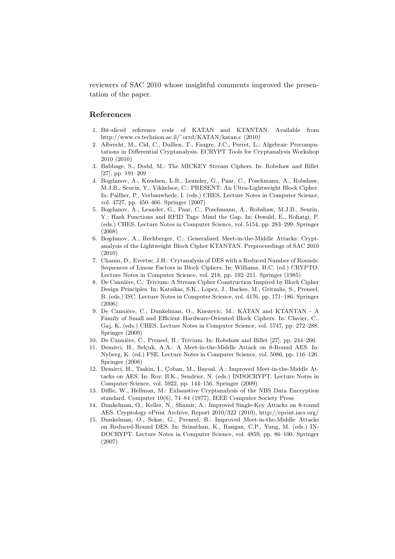reviewers of SAC 2010 whose insightful comments improved the presentation of the paper.

# References

- 1. Bit-sliced reference code of KATAN and KTANTAN. Available from http://www.cs.technion.ac.il/˜orrd/KATAN/katan.c (2010)
- 2. Albrecht, M., Cid, C., Dullien, T., Faugre, J.C., Perret, L.: Algebraic Precomputations in Differential Cryptanalysis. ECRYPT Tools for Cryptanalysis Workshop 2010 (2010)
- 3. Babbage, S., Dodd, M.: The MICKEY Stream Ciphers. In: Robshaw and Billet [27], pp. 191–209
- 4. Bogdanov, A., Knudsen, L.R., Leander, G., Paar, C., Poschmann, A., Robshaw, M.J.B., Seurin, Y., Vikkelsoe, C.: PRESENT: An Ultra-Lightweight Block Cipher. In: Paillier, P., Verbauwhede, I. (eds.) CHES. Lecture Notes in Computer Science, vol. 4727, pp. 450–466. Springer (2007)
- 5. Bogdanov, A., Leander, G., Paar, C., Poschmann, A., Robshaw, M.J.B., Seurin, Y.: Hash Functions and RFID Tags: Mind the Gap. In: Oswald, E., Rohatgi, P. (eds.) CHES. Lecture Notes in Computer Science, vol. 5154, pp. 283–299. Springer (2008)
- 6. Bogdanov, A., Rechberger, C.: Generalized Meet-in-the-Middle Attacks: Cryptanalysis of the Lightweight Block Cipher KTANTAN. Preproceedings of SAC 2010 (2010)
- 7. Chaum, D., Evertse, J.H.: Crytanalysis of DES with a Reduced Number of Rounds: Sequences of Linear Factors in Block Ciphers. In: Williams, H.C. (ed.) CRYPTO. Lecture Notes in Computer Science, vol. 218, pp. 192–211. Springer (1985)
- 8. De Cannière, C.: Trivium: A Stream Cipher Construction Inspired by Block Cipher Design Principles. In: Katsikas, S.K., Lopez, J., Backes, M., Gritzalis, S., Preneel, B. (eds.) ISC. Lecture Notes in Computer Science, vol. 4176, pp. 171–186. Springer (2006)
- 9. De Cannière, C., Dunkelman, O., Knezevic, M.: KATAN and KTANTAN A Family of Small and Efficient Hardware-Oriented Block Ciphers. In: Clavier, C., Gaj, K. (eds.) CHES. Lecture Notes in Computer Science, vol. 5747, pp. 272–288. Springer (2009)
- 10. De Cannière, C., Preneel, B.: Trivium. In: Robshaw and Billet [27], pp. 244–266
- 11. Demirci, H., Selçuk, A.A.: A Meet-in-the-Middle Attack on 8-Round AES. In: Nyberg, K. (ed.) FSE. Lecture Notes in Computer Science, vol. 5086, pp. 116–126. Springer (2008)
- 12. Demirci, H., Taskin, I., Coban, M., Baysal, A.: Improved Meet-in-the-Middle Attacks on AES. In: Roy, B.K., Sendrier, N. (eds.) INDOCRYPT. Lecture Notes in Computer Science, vol. 5922, pp. 144–156. Springer (2009)
- 13. Diffie, W., Hellman, M.: Exhaustive Cryptanalysis of the NBS Data Encryption standard. Computer 10(6), 74–84 (1977), IEEE Computer Society Press
- 14. Dunkelman, O., Keller, N., Shamir, A.: Improved Single-Key Attacks on 8-round AES. Cryptology ePrint Archive, Report 2010/322 (2010), http://eprint.iacr.org/
- 15. Dunkelman, O., Sekar, G., Preneel, B.: Improved Meet-in-the-Middle Attacks on Reduced-Round DES. In: Srinathan, K., Rangan, C.P., Yung, M. (eds.) IN-DOCRYPT. Lecture Notes in Computer Science, vol. 4859, pp. 86–100. Springer (2007)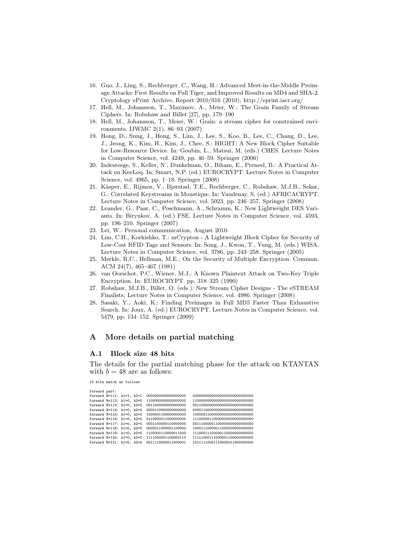- 16. Guo, J., Ling, S., Rechberger, C., Wang, H.: Advanced Meet-in-the-Middle Preimage Attacks: First Results on Full Tiger, and Improved Results on MD4 and SHA-2. Cryptology ePrint Archive, Report 2010/016 (2010), http://eprint.iacr.org/
- 17. Hell, M., Johansson, T., Maximov, A., Meier, W.: The Grain Family of Stream Ciphers. In: Robshaw and Billet [27], pp. 179–190
- 18. Hell, M., Johansson, T., Meier, W.: Grain: a stream cipher for constrained environments. IJWMC 2(1), 86–93 (2007)
- 19. Hong, D., Sung, J., Hong, S., Lim, J., Lee, S., Koo, B., Lee, C., Chang, D., Lee, J., Jeong, K., Kim, H., Kim, J., Chee, S.: HIGHT: A New Block Cipher Suitable for Low-Resource Device. In: Goubin, L., Matsui, M. (eds.) CHES. Lecture Notes in Computer Science, vol. 4249, pp. 46–59. Springer (2006)
- 20. Indesteege, S., Keller, N., Dunkelman, O., Biham, E., Preneel, B.: A Practical Attack on KeeLoq. In: Smart, N.P. (ed.) EUROCRYPT. Lecture Notes in Computer Science, vol. 4965, pp. 1–18. Springer (2008)
- 21. Käsper, E., Rijmen, V., Bjørstad, T.E., Rechberger, C., Robshaw, M.J.B., Sekar, G.: Correlated Keystreams in Moustique. In: Vaudenay, S. (ed.) AFRICACRYPT. Lecture Notes in Computer Science, vol. 5023, pp. 246–257. Springer (2008)
- 22. Leander, G., Paar, C., Poschmann, A., Schramm, K.: New Lightweight DES Variants. In: Biryukov, A. (ed.) FSE. Lecture Notes in Computer Science, vol. 4593, pp. 196–210. Springer (2007)
- 23. Lei, W.: Personal communication, August 2010.
- 24. Lim, C.H., Korkishko, T.: mCrypton A Lightweight Block Cipher for Security of Low-Cost RFID Tags and Sensors. In: Song, J., Kwon, T., Yung, M. (eds.) WISA. Lecture Notes in Computer Science, vol. 3786, pp. 243–258. Springer (2005)
- 25. Merkle, R.C., Hellman, M.E.: On the Security of Multiple Encryption. Commun. ACM 24(7), 465–467 (1981)
- 26. van Oorschot, P.C., Wiener, M.J.: A Known Plaintext Attack on Two-Key Triple Encryption. In: EUROCRYPT. pp. 318–325 (1990)
- 27. Robshaw, M.J.B., Billet, O. (eds.): New Stream Cipher Designs The eSTREAM Finalists, Lecture Notes in Computer Science, vol. 4986. Springer (2008)
- 28. Sasaki, Y., Aoki, K.: Finding Preimages in Full MD5 Faster Than Exhaustive Search. In: Joux, A. (ed.) EUROCRYPT. Lecture Notes in Computer Science, vol. 5479, pp. 134–152. Springer (2009)

## A More details on partial matching

## A.1 Block size 48 bits

The details for the partial matching phase for the attack on KTANTAN with  $b = 48$  are as follows:

10 bits match as follows

forward part:

| forward R=111: k1=1, k2=1 |  | 000000000000000000  |                                |
|---------------------------|--|---------------------|--------------------------------|
| forward R=112: k1=0, k2=0 |  | 1100000000000000000 | 11000000000000000000000000000  |
| forward R=113: k1=0, k2=0 |  | 0011000000000000000 | 001100000000000000000000000000 |
| forward R=114: k1=0, k2=0 |  | 0000110000000000000 | 000011000000000000000000000000 |
| forward R=115: k1=0, k2=0 |  | 1000001100000000000 | 100000110000000000000000000000 |
| forward R=116: k1=0, k2=0 |  | 0110000011000000000 | 111000001100000000000000000000 |
| forward R=117: k1=0, k2=0 |  | 0001100000110000000 | 001110000011000000000000000000 |
| forward R=118: k1=0, k2=0 |  | 0000011000001100000 | 10001110000011000000000000000  |
| forward R=119: k1=0, k2=0 |  | 1100000110000011000 | 11100011100000110000000000000  |
| forward R=120: k1=0, k2=0 |  | 1111000001100000110 | 11111000111000001100000000000  |
| forward R=121: k1=0, k2=0 |  | 0011110000011000001 | 10111110001110000011000000000  |
|                           |  |                     |                                |